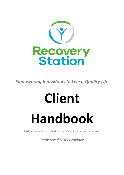

*Empowering Individuals to Live a Quality Life*

# **Client**

# **Handbook**

This handbook provides you with important information about using our services.

# *Registered NDIS Provider*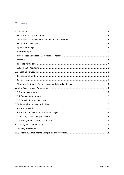# Contents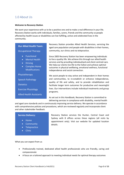# <span id="page-2-0"></span>1.0 About Us

#### *Welcome to Recovery Station*.

We want your experience with us to be a positive one and to make a real difference in your life. Recovery Station works with individuals, families, carers, friends and the community so people affected by health issues or disabilities can live fulfilling, active and celebrated lives in the community.

#### **Our Allied Health Team:**

#### Occupational Therapy

- Functional
- Mental Health
- Driving
- Complex Home Modifications

#### Physiotherapy

Speech Pathology

**Dietetics** 

Exercise Physiology

Allied Health Assistants

Recovery Station provides Allied Health Services, servicing the aged care population and people with disabilities in their homes, community, our clinics and via telepractice.

Since 2005 Recovery Station has been empowering individuals to live a quality life. We achieve this through our allied health services and by providing individualised and client centred care. We help our clients live life to the fullest and achieve optimal outcomes in physical wellbeing, emotional wellness, functional independence and social connection.

We assist people to stay active and independent in their homes and communities, to re-establish or enhance independence, quality of life and safety, and to provide rehabilitation and facilitate longer term outcomes for productive and meaningful lives. Our interventions include individual treatments and group programs.

As set out in this Handbook, Recovery Station is committed to delivering services in compliance with disability, mental health

and aged care standards and in continuously improving service delivery. We operate in accordance with comprehensive policies and procedures, which are reviewed regularly and incorporate client and other stakeholder feedback.

#### **Service Delivery:**

- Home
- Community
- Telepractice
- Clinic

Recovery Station services the Hunter, Central Coast and Sydney with 8 offices across these regions (all visits by appointment only). Visit our website for updated location details.

What you can expect from us

- Professionally trained, dedicated allied health professionals who are friendly, caring and compassionate
- A focus on a tailored approach to meeting individual needs for optimal therapy outcomes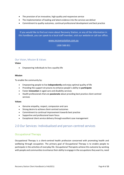- The provision of an innovative, high quality and responsive service
- The implementation of leading and latest evidence into the services we deliver
- Commitment to quality outcomes, continual professional development and best practice

If you would like to find out more about Recovery Station, or any of the information in this handbook, you can speak to a local staff member, visit our website or call our office.

[www.recoverystation.com.au](http://www.recoverystation.com.au/)

1300 588 851

#### <span id="page-3-0"></span>Our Vision, Mission & Values

#### **Vision**

• Empowering individuals to live a quality life

#### **Mission**

To enable the community by:

- Empowering people to live **independently** and enjoy optimal quality of life
- Providing the support structures to enhance people's ability to **participate**
- Foster **innovation** in aged care and disability services
- Health professionals that are **passionate** about providing best practice client centred services

#### **Values**

- Genuine empathy, respect, compassion and care
- Strong desire to achieve client-centred outcomes
- Commitment to continual improvement towards best practice
- Supportive and professional team focus
- Exceptional client service delivery through excellent case management

# <span id="page-3-1"></span>2.0 Our Services: Individualised and person-centred services

#### <span id="page-3-2"></span>Occupational Therapy

Occupational Therapy is a client-centred health profession concerned with promoting health and wellbeing through occupation. The primary goal of Occupational Therapy is to enable people to participate in the activities of everyday life. Occupational Therapists achieve this outcome by working with people and communities to enhance their ability to engage in the occupations they want to, need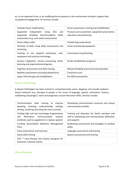to, or are expected to do, or by modifying the occupation or the environment to better support their occupational engagement. OT services include:

| Complex home modifications                                                                                                                        | Driver assessment, training and rehabilitation                                 |
|---------------------------------------------------------------------------------------------------------------------------------------------------|--------------------------------------------------------------------------------|
| Independent<br>Living<br>(SIL)<br>Supported<br>and<br>Disability Accommodation<br>Supported<br>(SDA)<br>assessments (e.g. care needs assessments) | Pressure care assessment, equipment prescription,<br>education and positioning |
| Home safety audits                                                                                                                                | Handwriting assessments                                                        |
| Activities of Daily Living (ADL) assessments and<br>retraining.                                                                                   | Vision and hearing equipment                                                   |
| Training to use adapted techniques, aids,<br>equipment and assistive technology                                                                   | <b>Community Living Planning</b>                                               |
| Sensory integration, sensory processing, motor<br>planning and organisational programs                                                            | Stroke rehabilitation programs                                                 |
| Cognitive assessments and skills training                                                                                                         | Manual Handling assessment and education                                       |
| Mobility assessments (including wheelchairs)                                                                                                      | Continence care                                                                |
| Upper limb therapy and rehabilitation                                                                                                             | Pre-NDIS assessments                                                           |

#### <span id="page-4-0"></span>Speech Pathology

A Speech Pathologist has been trained to comprehensively assess, diagnose and provide evidencebased treatment (e.g. therapy) to people in the areas of language, speech, articulation, fluency, swallowing ('dysphagia'), voice and pragmatics (social interaction skills). Services include:

| Communication skills training to<br>improve<br>speaking, listening, understanding, reading,<br>writing, stuttering and using the voice correctly   | Developing communication resources and unique<br>communication profiles                                             |
|----------------------------------------------------------------------------------------------------------------------------------------------------|---------------------------------------------------------------------------------------------------------------------|
| Trialling high and low technology Augmentative<br>Alternative<br>Communication<br>and<br>systems<br>(methods used to supplement or replace speech) | Training and education for family members and<br>staff in swallowing and communication difficulties<br>and supports |
| Creating personalised Mealtime Management<br>Plans                                                                                                 | Swallowing assessments and strategies to swallow<br>safely                                                          |
| Voice assessments and exercises                                                                                                                    | Language assessments and training                                                                                   |
| Social skills training                                                                                                                             | Speech assessments and training                                                                                     |
| LVST $\mathcal{P}$ Loud therapy and reviews (program for<br>Parkinson's disease clients)                                                           |                                                                                                                     |

#### <span id="page-4-1"></span>Physiotherapy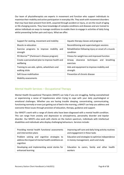Our team of physiotherapists are experts in movement and function who support individuals to maximise their mobility and active participation in everyday life. They work with movement disorders that may have been present from birth, acquired through accident or injury, or are the result of aging or life-changing events. They have knowledge of complex conditions and diseases and are trained to advise individuals on ways to manage conditions to enable them to engage in activities of daily living whilst preventing further pain and injury. What we offer:

| Support for seating, movement and mobility                       | Aquatic therapy classes and programs                              |
|------------------------------------------------------------------|-------------------------------------------------------------------|
| Muscle re-education                                              | Reconditioning and supervised gym sessions                        |
| Exercise programs to improve mobility<br>and<br>strength         | Rehabilitation following injury or onset of a muscle<br>condition |
| PD Warrior™ (Parkinson's Disease program)                        | Fitness for weight loss and improved function                     |
| Create a personalised plan to improve health and<br>wellbeing    | clearance techniques and<br>breathing<br>Airway<br>exercises      |
| Training to use aids, splints, wheelchairs and<br>walking sticks | Aids and equipment to improve mobility and<br>strength            |
| Soft tissue mobilisation                                         | Prevention of chronic disease                                     |
| <b>Mobility assessments</b>                                      |                                                                   |

# <span id="page-5-0"></span>Mental Health Services – Occupational Therapy

Mental Health Occupational Therapists (MHOT) can help if you are struggling, feeling overwhelmed or experiencing a sense of hopelessness when trying to cope with your daily psychological or emotional challenges. Whether you are having trouble sleeping, concentrating, communicating, functioning normally or even just getting out of bed in the morning, a MHOT can help you address and overcome these issues through provision of education, therapy, guidance and support.

Our MHOT's work with a range of clients who have been diagnosed with a mental health condition. This can range from anxiety and depression to schizophrenia, personality disorder and bipolar disorder. Our MHOTs also work with clients on the Autism spectrum, individuals with intellectual disabilities and individuals who display challenging behaviours. Services include:

| Providing mental health functional assessments                                                                | Improving self-care and daily living activity routines                                   |
|---------------------------------------------------------------------------------------------------------------|------------------------------------------------------------------------------------------|
| and intervention plans                                                                                        | and engagement in these tasks                                                            |
| Problem solving and cognitive strategies to<br>address the impact of mental health conditions on<br>cognition | Education and strategies to optimise independence<br>in money management, work and study |
| Developing and implementing social stories for                                                                | Education to carers, family and other health                                             |
| enhanced learning                                                                                             | workers                                                                                  |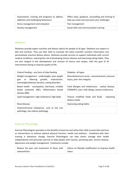| Assessments, training and programs to address | Offers tools, guidance, counselling and training to |
|-----------------------------------------------|-----------------------------------------------------|
| addiction and challenging behaviours          | help you meet and overcome your challenges          |
| Stress management and relaxation              | Pain management                                     |
| Anxiety management                            | Social skills and communication training            |

#### <span id="page-6-0"></span>**Dietetics**

Dietitians provide expert nutrition and dietary advice for people of all ages. Dietitians are experts in diet and nutrition. They use their skills to translate the latest scientific nutrition information into personalised, practical dietary advice. Dietitians provide services to support individuals with current medical conditions, reducing the risk of developing chronic disease and improving eating habits. They are also integral in the development and revision of menus and recipes, with the goal of all interventions being to improve quality of life.

| Enteral Feeding - any form of tube feeding                                                                                                                 | Diabetes- all types                                                                                    |
|------------------------------------------------------------------------------------------------------------------------------------------------------------|--------------------------------------------------------------------------------------------------------|
| Weight management - underweight, poor weight<br>faltering growth,<br>malnutrition,<br>gain<br><b>or</b><br>overweight/obesity/ bariatric, eating disorders | Wounds/pressure areas – wound present, pressure<br>injury, poor skin integrity                         |
| Bowel health - constipation, diarrhoea, irritable<br>bowel syndrome (IBC), inflammatory bowel<br>disease (IBD)                                             | Food allergies and intolerances - coeliac disease,<br>FODMAPS, cow's milk allergy, lactose intolerance |
| Lipid management- high cholesterol, high lipids                                                                                                            | Texture modified foods and fluids - impacting<br>dietary intake                                        |
| Renal disease                                                                                                                                              | Improving eating habits                                                                                |
| Vitamin/mineral imbalances- such as low iron<br>pathology, low sodium pathology                                                                            |                                                                                                        |

#### <span id="page-6-1"></span>Exercise Physiology

Exercise Physiologists specialise in the benefits of exercise and utilise their skills to prescribe exercises as interventions to achieve optimal physical function, health and wellness. Combined with their training in behaviour change, Exercise Physiologists can help clients manage their health independently and prescribe exercise to help people with injuries, persisting pain, chronic disease, depression and weight management. Treatments include:

| Reduce the pain and movement of those with | Advice on lifestyle modification to improve health |
|--------------------------------------------|----------------------------------------------------|
| osteoarthritis                             | status                                             |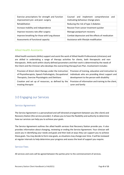| Exercise prescriptions for strength and function<br>improvement pre- and post- surgery | Counsel and implement comprehensive<br>and<br>motivating behaviour change plans |
|----------------------------------------------------------------------------------------|---------------------------------------------------------------------------------|
| Rehabilitation                                                                         | Reducing the risk of type 2 diabetes                                            |
| Increase mobility and independence                                                     | Recover from cancer treatment quicker                                           |
| Improve recovery rate after surgery                                                    | Manage postpartum recovery                                                      |
| Improve breathing for those with lung disease                                          | Combat depression and the effects of medication                                 |
| Assessments of functional capacity                                                     | Assistance with lifestyle modification                                          |

#### <span id="page-7-0"></span>Allied Health Assistants

Allied health assistants (AHAs) support and assist the work of Allied Health Professionals (clinicians) and are skilled in undertaking a range of therapy activities for clients, both therapeutic and nontherapeutic. AHAs work within clearly defined parameters and their work is determined by the needs of the Client and the Clinician who develops the overarching therapy/Care Plan. Involvement includes:

| Provision of direct client therapy under the instruction | Provision of training, education and instruction to  |
|----------------------------------------------------------|------------------------------------------------------|
| of Physiotherapists, Speech Pathologists, Occupational   | individuals who are providing direct support and     |
| Therapists, Exercise Physiologists and Dietitians        | development to the person with disability            |
| Creation and set up of resources, as defined by the      | Provision of information and training to the client, |
| treating therapist                                       | carer and family                                     |

# <span id="page-7-1"></span>3.0 Engaging our Services

#### <span id="page-7-2"></span>Service Agreement

The Service Agreement is a personalised and self-directed arrangement between you (the client) and Recovery Station (the service provider). It allows you to have the flexibility and authority to determine how our services can help you to achieve your goals.

The Service Agreement outlines the allied health services that Recovery Station provide you. It also provides information about changing, reviewing or ending the Service Agreement. Your clinician will assist you in identifying your needs and goals and then look at ways they can support you to achieve these goals. You may decide to form new goals, as situations may change over time. It will be reviewed at regular intervals to help determine your progress and assess the level of support you require.

#### <span id="page-7-3"></span>Service Fees

All services and costs will be agreed between the parties prior to the commencement of services.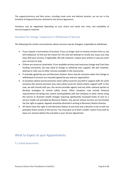The supports/services and their prices, including travel costs and delivery location, are set out in the Schedule of Supports/Services attached to the Service Agreement.

Variations may be negotiated depending on your choice and needs over time, and availability of services/supports required**.** 

#### <span id="page-8-0"></span>Situations for Change, Suspension or Withdrawal of Services

The following lists certain circumstances where services may be changed, suspended or withdrawn:

- If you request a termination of services: If you no longer wish to receive services from us, we will endeavour to find out the reason for this and will attempt to rectify any issues you may have with your services, if applicable. We will, however, respect your wishes in case you want your services to stop.
- If there are resource constraints: If our available services and resources change and if we have funding constraints, we may need to change or withdraw your support. We will, however, attempt to refer you to other services available in the community.
- If mutually agreed by you and Recovery Station: there may be occasions when the change or withdrawal of services are mutually agreed by you and our organisation.
- In situations where service provision raises safety issues for yourself or support staff: On some occasions the service provision may raise safety issues for clients and/or support staff. In this case, we will consult with you, the service provider agency and any other relevant parties to develop strategies to control safety issues. Other situations may include financial requirements not being met, severe incompatibility with the Company or other clients using the service or dramatic health changes requiring significantly increased levels of care or a service model not provided by Recovery Station. Any person whose services are terminated has the right to appeal. Appeals should be directed in writing to Recovery Station Director.
- All clients have the right to exit Recovery Station at any time and a decision to do so will not prejudice future access to the service. You must give us at least 2 weeks' notice if you wish to leave our services before the end date in your Service Agreement.

### <span id="page-8-2"></span><span id="page-8-1"></span>What to Expect at your Appointments

5.1 Initial Assessment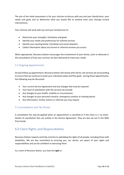The aim of the initial assessment is for your clinician to discuss with you and your family/carer, your needs and goals and to determine what you would like to achieve from your therapy or/and interventions.

Your clinician will work with you and your family/carer to:

- Determine your strengths, limitations and goals
- Identify your needs and preferences for tailored services
- Identify your existing family, friendship and social networks
- Collect information about any formal or informal services you access

When appropriate, Recovery Station encourages the involvement of your family, carer or advocate in the consultation of how your services are best delivered to meet your needs.

#### <span id="page-9-0"></span>5.2 Ongoing Appointments

At each follow up appointment, Recovery Station will review with clients, the services we are providing to ensure that we continue to meet your individual needs and Plan goals. During these appointments, the following may be discussed:

- Your current Service Agreement and any changes that may be required
- Your level of satisfaction with the services we provide
- Any changes to your health, mobility or circumstances
- Any changes to your personal contacts, emergency contacts or treating doctor
- Any information, further actions or referrals you may require

#### <span id="page-9-1"></span>5.3 Cancellations and 'No Shows'

A cancellation fee may be applied when an appointment is cancelled or if the client is a 'no show'. Details of cancellation fees are outline in the Service Agreement. They are also set out in the NDIS Price Guide.

# <span id="page-9-2"></span>6.0 Client Rights and Responsibilities

Recovery Station respects and fully commits to upholding the rights of all people, including those with disabilities. We are also committed to ensuring you, our clients, are aware of your rights and responsibilities and can be confident in exercising them.

As a client of Recovery Station, you have the **right** to: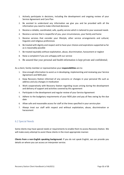- 1. Actively participate in decisions, including the development and ongoing review of your Service Agreement and Care Plan
- 2. Be assisted to understand any information we give you and be provided with all the information you need to make informed decisions
- 3. Receive a reliable, coordinated, safe, quality service which is tailored to your assessed needs
- 4. Receive a service that is respectful of you, your circumstances, your family and home
- 5. Receive services that consider your lifestyle, other service arrangements and cultural, linguistic and religious preferences
- 6. Be treated with dignity and respect and to have your choices and aspirations supported as far as is reasonably possible
- 7. Be treated equitably without exploitation, abuse, discrimination, harassment or neglect
- 8. Raise a complaint if you are unhappy with our service
- 9. Be assured that your personal and health information is kept private and confidential;

As a client, family member or representative your **responsibilities** are to:

- 1. Give enough information to assist us in developing, implementing and reviewing your Service Agreement and NDIS plan
- 2. Keep Recovery Station informed of any concerns or changes in your personal life such as address and any changes in medication
- 3. Work cooperatively with Recovery Station regarding issues arising during the development and delivery of support and activities covered by this agreement
- 4. Participate in the development and regular review of your Service Agreement
- 5. Adhere to the budgetary requirements of your NDIS plan and pay all fees owing by the due date
- 6. Allow safe and reasonable access for staff at the times specified in your service plan
- 7. Always treat our staff with respect and without exploitation, abuse, discrimination or harassment

#### <span id="page-10-0"></span>6.2 Special Needs

Some clients may have special needs or requirements to enable them to access Recovery Station. We will make every attempt to assist these clients in the most appropriate manner.

**Clients from a non-English speaking background:** If you do not speak English, we can provide you details on where you can access an interpreter service.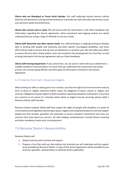**Clients who are Aboriginal or Torres Strait Islander:** Our staff undertake annual internal cultural diversity and awareness training and will endeavour to provide you with culturally safe services as per your personal needs and preferences.

**Clients who cannot read or write:** We will ensure that the information in the Client Handbook and information regarding the Service Agreement, initial assessment and ongoing reviews are clearly understood by you using a range of methods to suit your needs.

**Clients with Dementia and other special needs:** Our staff participate in ongoing training to develop skills in working with people with dementia and other specific neurological disabilities, and every effort will be made to ensure that services are delivered in a sensitive way. We will make every effort to ensure that the client, family and/or carers are involved in the development of a Care Plan, as well as being informed of the Service Agreement and our Client Handbook.

**Clients with hearing impairment**: If you cannot hear, we can assist in work with you to determine a suitable method of communication, to ensure that you understand the assessment and review process, the services being offered, and other general information contained in the Service Agreement.

#### <span id="page-11-0"></span>6.3 Protection from Harm, Abuse and Neglect

When visiting our office or taking part in our services, you have the right to be free from harm and any form of abuse or neglect. Recovery Station treats any allegation of abuse, assault or neglect very seriously. Allegations may be subject to both mandatory reporting and police involvement. If you have any concerns or are aware of a situation where abuse or neglect may be occurring, please notify a Recovery Station staff member.

Recovery Station employs skilled staff who respect the rights of people with disability, are aware of current policies and legislation pertaining to abuse, neglect and unexplained absences and will support people and their families, guardians and advocates to access complaint mechanisms and raise any concerns they have about our services. All staff undergo comprehensive criminal history screening and other mandatory checks prior to employment.

# <span id="page-11-1"></span>7.0 Recovery Station's Responsibilities

Recovery Station will:

- 1. Always treat you with courtesy and respect
- 2. Prepare a Care Plan with you that outlines the activities you will undertake and the support to be provided by Recovery Station. A copy of the Service Agreement will be provided to you (and your guardian, representative or advocate where applicable).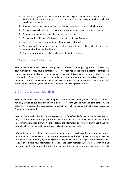- 3. Respect your rights as a client to determine the range and types of activities you wish to participate in and consult with you on decisions about how supports are provided, including any changes or updates.
- 4. Once agreed, provide supports/services that meet your needs at times suitable to you
- 5. Give you a as much notice as possible where an appointment needs to be re-scheduled
- 6. Communicate openly and honestly, and in a timely manner
- 7. Give you notice if Recovery Station needs to end the Service Agreement
- 8. Issue regular invoices and statements of the services delivered
- 9. Treat information about you and your activities as private and confidential in line with your wishes and with privacy legislation
- 10. Protect your privacy and confidential nature of your information

#### <span id="page-12-0"></span>7.1 Management of Conflict of Interest

Recovery Station's service delivery encompasses the provision of therapy supports and services. Any staff member that may have a conflict of interest is required to disclose this potential conflict and agree how any potential conflict can be managed to ensure this does not compromise client care. In the provision of services, our team is required to make the most appropriate referrals to Providers to meet the clinical and care needs of clients. We have clear policies and procedures to ensure Recovery Station effectively manages any potential conflicts when making these referrals.

# <span id="page-12-1"></span>8.0 Privacy and Confidentiality

Recovery Station values and respects the privacy, confidentiality and dignity of our clients and their families, as well as our staff and is committed to protecting your privacy and confidentiality. We collect, use, protect and release personal information in full compliance with all relevant State and Federal privacy legislation.

Recovery Station will only collect information necessary for safe and effective service delivery. We will only use information for the purpose it was collected and secure it safely. When we collect your information, we will explain why we are collecting the information and how we plan to use it. We will only take photos or videos of you with your full and voluntary consent.

Information about you will only be released to other people or services with your informed consent, in an emergency, or where such disclosure is required or authorised by law. You may access the information we hold about you, including in order to update or correct it, subject to certain exceptions. If you wish to access your information, please speak to a staff member. When your information is no longer needed for the purpose for which it was obtained, we will destroy or permanently de-identify it.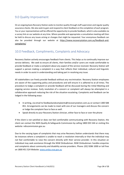# <span id="page-13-0"></span>9.0 Quality Improvement

On an ongoing basis Recovery Station seeks to monitor quality through staff supervision and regular quality assurance checks. We also seek to gain and respond to client feedback on the completion of each program. You or your representatives will be offered the opportunity to provide feedback, which is also available via a survey link on our website at any time. Where possible and appropriate a consultative meeting will then be held to discuss any issues arising or changes that might be requested. Your anonymous feedback can also be provided through our website at [https://www.recoverystation.com.au/feedback-and](https://www.recoverystation.com.au/feedback-and-complaints/)[complaints/](https://www.recoverystation.com.au/feedback-and-complaints/)

# <span id="page-13-1"></span>10.0 Feedback, Compliments, Complaints and Advocacy

Recovery Station actively encourages feedback from clients. This helps us to continually improve our service delivery. We seek to ensure all clients, their families and/or carers are made comfortable to provide feedback or make a complaint about any aspect of the service received. Recovery Station will support a person making a complaint in a way that reflects their individual, cultural and linguistic needs in order to assist in understanding and taking part in resolving any issue.

All stakeholders can freely provide feedback without any recrimination. Recovery Station employees are aware of the supporting policy and procedures and will ensure it is adhered to at all times. The procedure to lodge a complaint or provide feedback will be discussed during the Initial Meeting and ongoing service reviews. Early resolution of a concern or complaint will always be attempted in a collaborative approach reducing the risk of the situation escalating. Complaints and feedback can be lodged in the following ways:

- In writing, via email to [feedbackandcomplaints@recoverystation.com.au](mailto:feedbackandcomplaints@recoverystation.com.au) or contact 1300 588 851. Arrangements can be made to meet with one of our managers and discuss the concern or lodge the complaint face to face as well.
- Speak directly to your Recovery Station clinician, either face to face or over the phone

If the client is not satisfied or does not feel comfortable communicating with Recovery Station, the client can contact the NDIS Quality & Safeguards Commission by calling 1800 035 544 or visiting this website: ndiscommission.gov.au

Due to the varying types of complaints that may arise Recovery Station understands that there may be instances where a complaint is unable to reach a resolution internally or that the individual may not feel comfortable to raise the concern directly with their service provider. In this situation an individual may seek assistance through the NSW Ombudsman. NSW Ombudsman: handles enquiries and complaints about community and disability service providers. Phone: (02) 9286 1000 or toll free on 1800 451 524 Website[: www.ombo.nsw.gov.au](http://www.ombo.nsw.gov.au/)